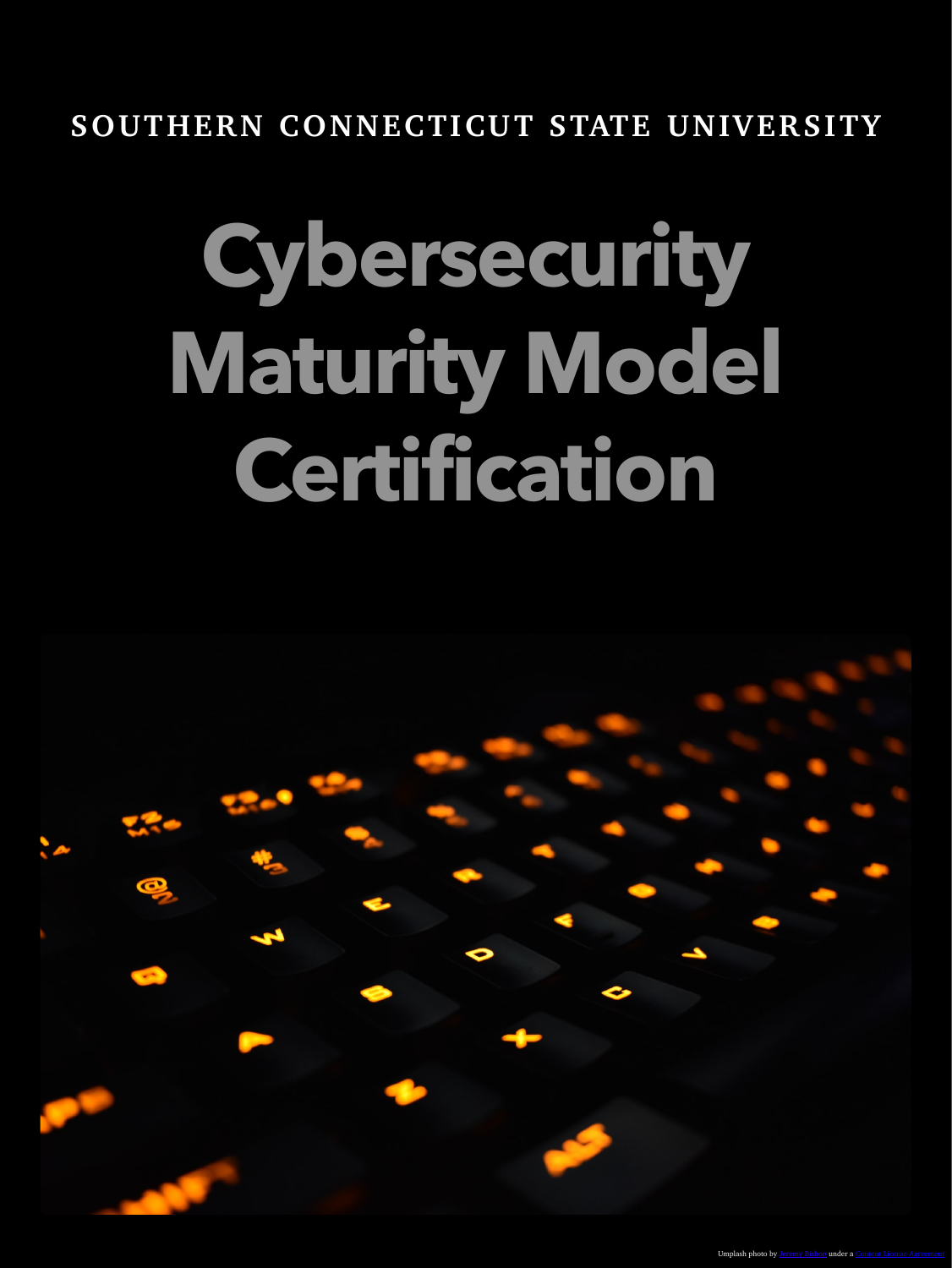# **SOUTHERN CONNECTICUT STATE UNIVERSITY**

# **Cybersecurity Maturity Model Certification**

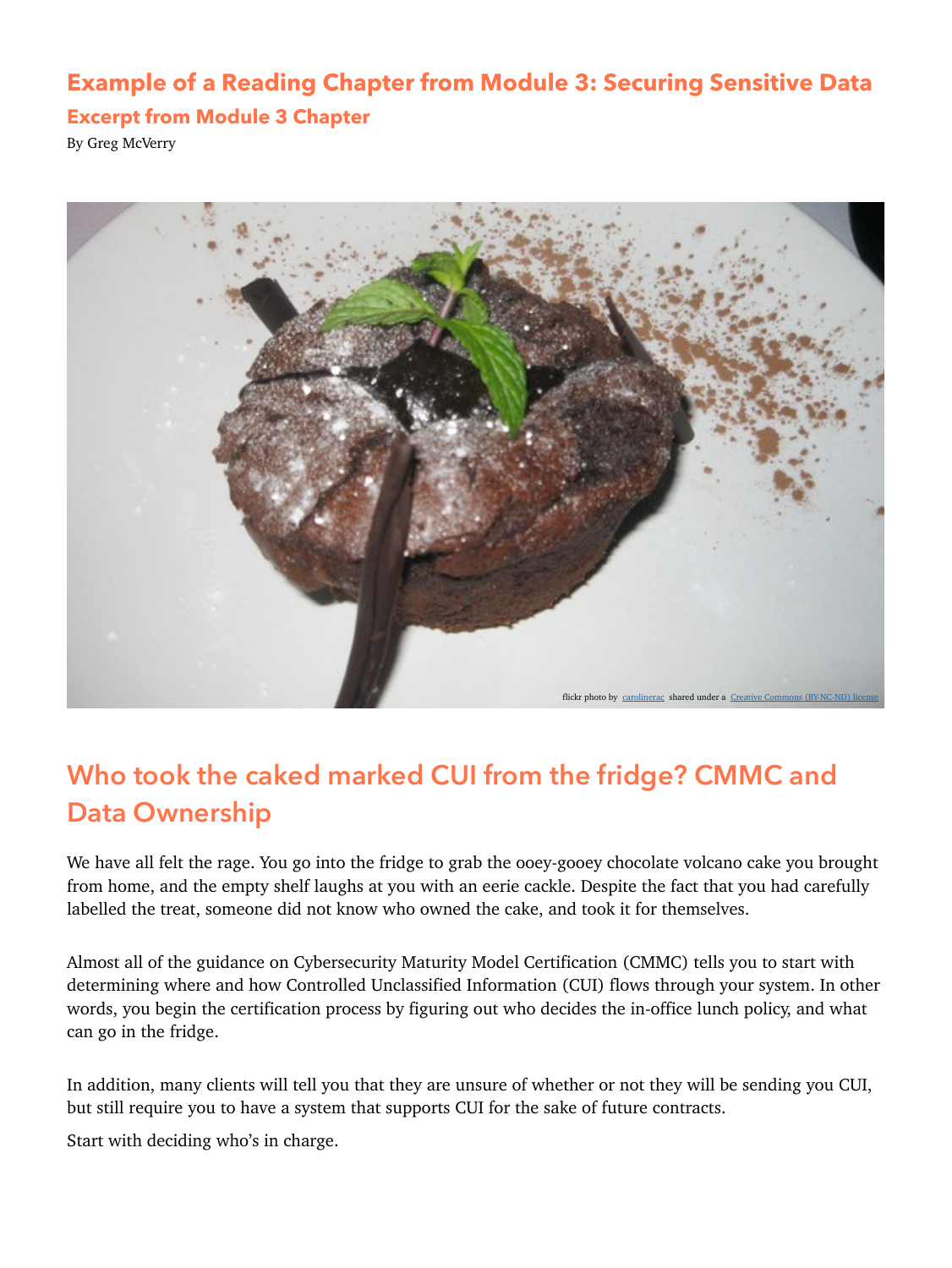### **Example of a Reading Chapter from Module 3: Securing Sensitive Data**

#### **Excerpt from Module 3 Chapter**

By Greg McVerry



# **Who took the caked marked CUI from the fridge? CMMC and Data Ownership**

We have all felt the rage. You go into the fridge to grab the ooey-gooey chocolate volcano cake you brought from home, and the empty shelf laughs at you with an eerie cackle. Despite the fact that you had carefully labelled the treat, someone did not know who owned the cake, and took it for themselves.

Almost all of the guidance on Cybersecurity Maturity Model Certification (CMMC) tells you to start with determining where and how Controlled Unclassified Information (CUI) flows through your system. In other words, you begin the certification process by figuring out who decides the in-office lunch policy, and what can go in the fridge.

In addition, many clients will tell you that they are unsure of whether or not they will be sending you CUI, but still require you to have a system that supports CUI for the sake of future contracts.

Start with deciding who's in charge.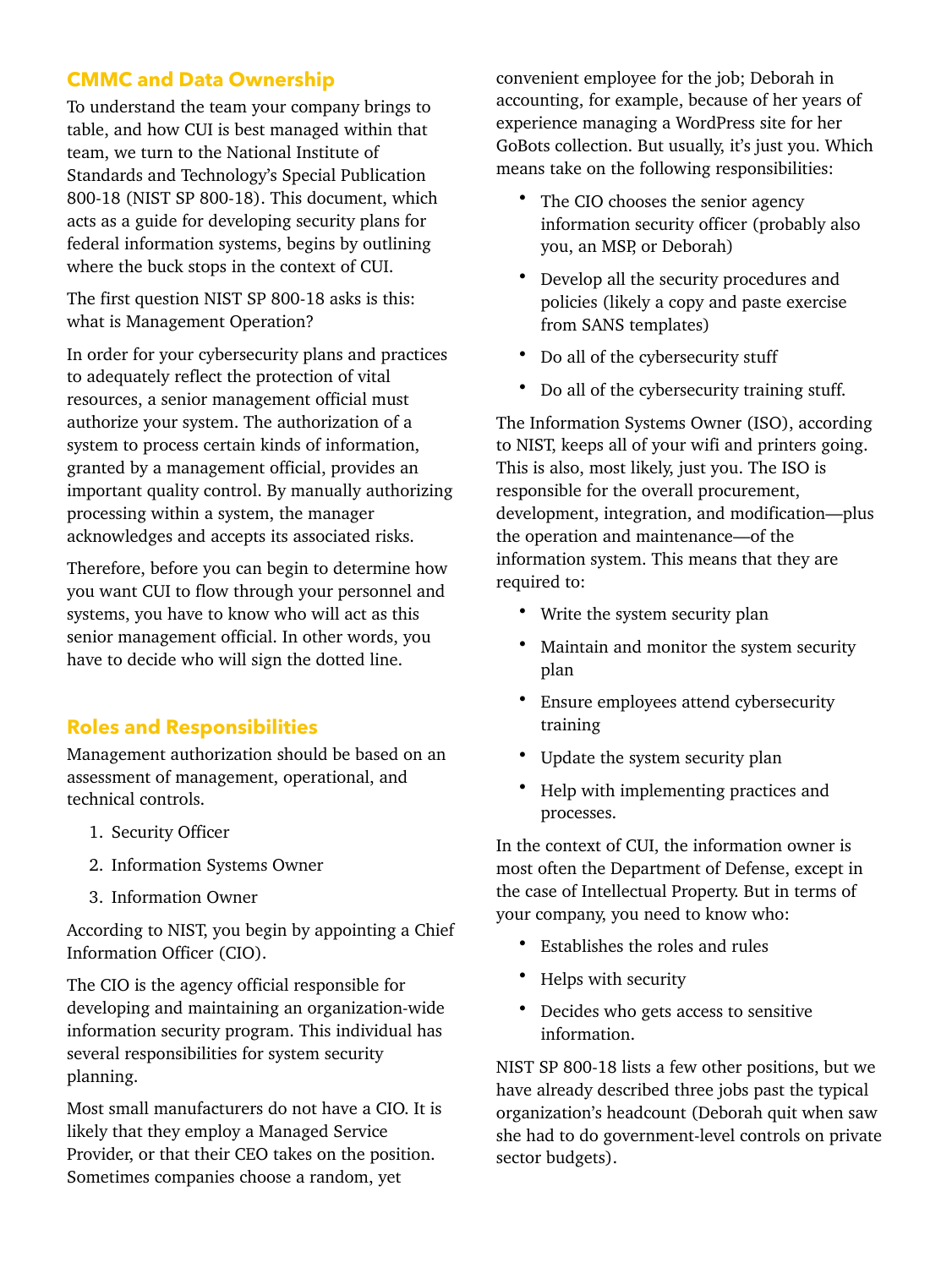#### **CMMC and Data Ownership**

To understand the team your company brings to table, and how CUI is best managed within that team, we turn to the National Institute of Standards and Technology's Special Publication 800-18 (NIST SP 800-18). This document, which acts as a guide for developing security plans for federal information systems, begins by outlining where the buck stops in the context of CUI.

The first question NIST SP 800-18 asks is this: what is Management Operation?

In order for your cybersecurity plans and practices to adequately reflect the protection of vital resources, a senior management official must authorize your system. The authorization of a system to process certain kinds of information, granted by a management official, provides an important quality control. By manually authorizing processing within a system, the manager acknowledges and accepts its associated risks.

Therefore, before you can begin to determine how you want CUI to flow through your personnel and systems, you have to know who will act as this senior management official. In other words, you have to decide who will sign the dotted line.

#### **Roles and Responsibilities**

Management authorization should be based on an assessment of management, operational, and technical controls.

- 1. Security Officer
- 2. Information Systems Owner
- 3. Information Owner

According to NIST, you begin by appointing a Chief Information Officer (CIO).

The CIO is the agency official responsible for developing and maintaining an organization-wide information security program. This individual has several responsibilities for system security planning.

Most small manufacturers do not have a CIO. It is likely that they employ a Managed Service Provider, or that their CEO takes on the position. Sometimes companies choose a random, yet

convenient employee for the job; Deborah in accounting, for example, because of her years of experience managing a WordPress site for her GoBots collection. But usually, it's just you. Which means take on the following responsibilities:

- The CIO chooses the senior agency information security officer (probably also you, an MSP, or Deborah)
- Develop all the security procedures and policies (likely a copy and paste exercise from SANS templates)
- Do all of the cybersecurity stuff
- Do all of the cybersecurity training stuff.

The Information Systems Owner (ISO), according to NIST, keeps all of your wifi and printers going. This is also, most likely, just you. The ISO is responsible for the overall procurement, development, integration, and modification—plus the operation and maintenance—of the information system. This means that they are required to:

- Write the system security plan
- Maintain and monitor the system security plan
- Ensure employees attend cybersecurity training
- Update the system security plan
- Help with implementing practices and processes.

In the context of CUI, the information owner is most often the Department of Defense, except in the case of Intellectual Property. But in terms of your company, you need to know who:

- Establishes the roles and rules
- Helps with security
- Decides who gets access to sensitive information.

NIST SP 800-18 lists a few other positions, but we have already described three jobs past the typical organization's headcount (Deborah quit when saw she had to do government-level controls on private sector budgets).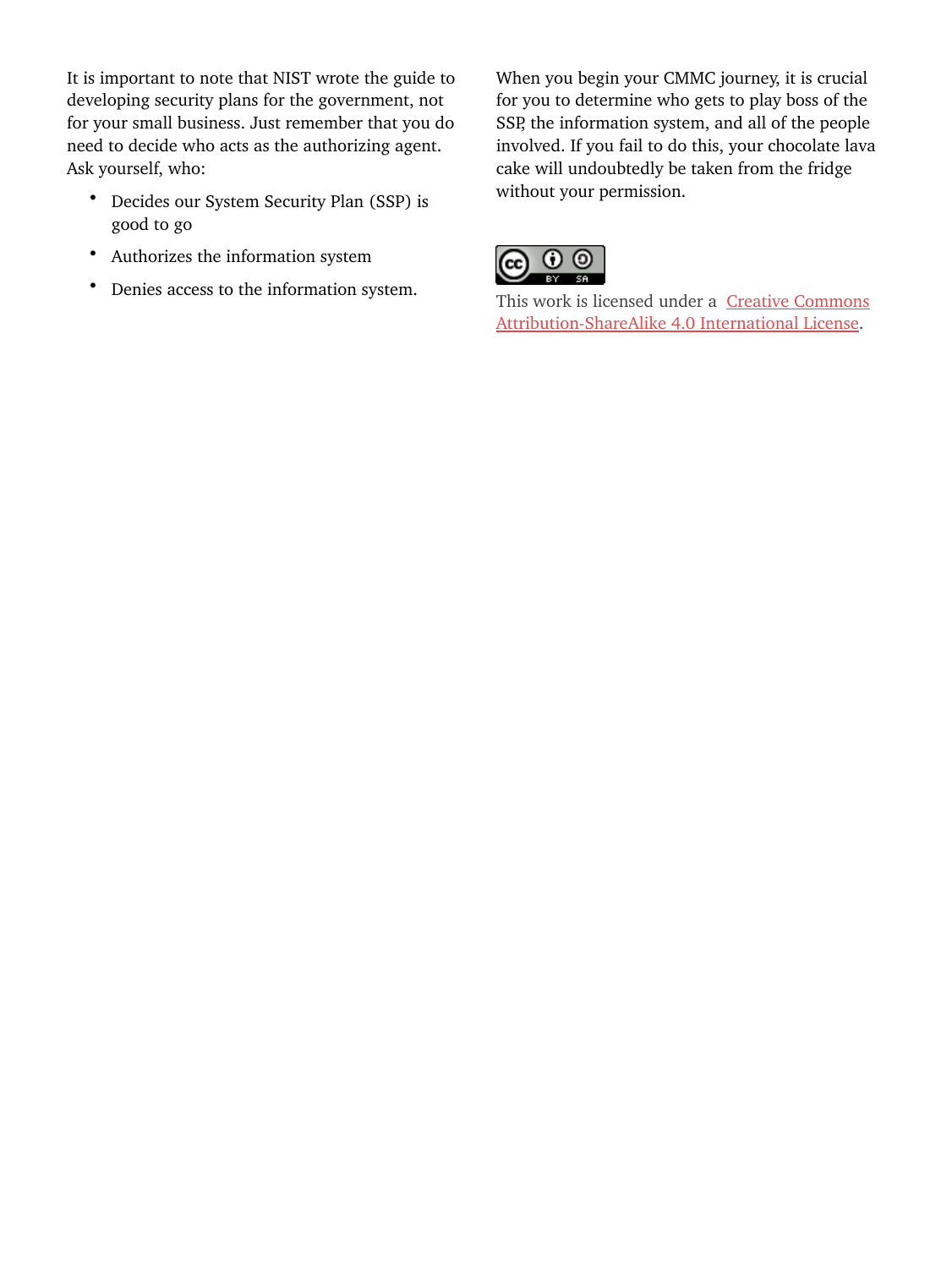It is important to note that NIST wrote the guide to developing security plans for the government, not for your small business. Just remember that you do need to decide who acts as the authorizing agent. Ask yourself, who:

- Decides our System Security Plan (SSP) is good to go
- Authorizes the information system
- Denies access to the information system.

When you begin your CMMC journey, it is crucial for you to determine who gets to play boss of the SSP, the information system, and all of the people involved. If you fail to do this, your chocolate lava cake will undoubtedly be taken from the fridge without your permission.



[This work is licensed under a](http://creativecommons.org/licenses/by-sa/4.0/) Creative Commons [Attribution-ShareAlike 4.0 International License](http://creativecommons.org/licenses/by-sa/4.0/).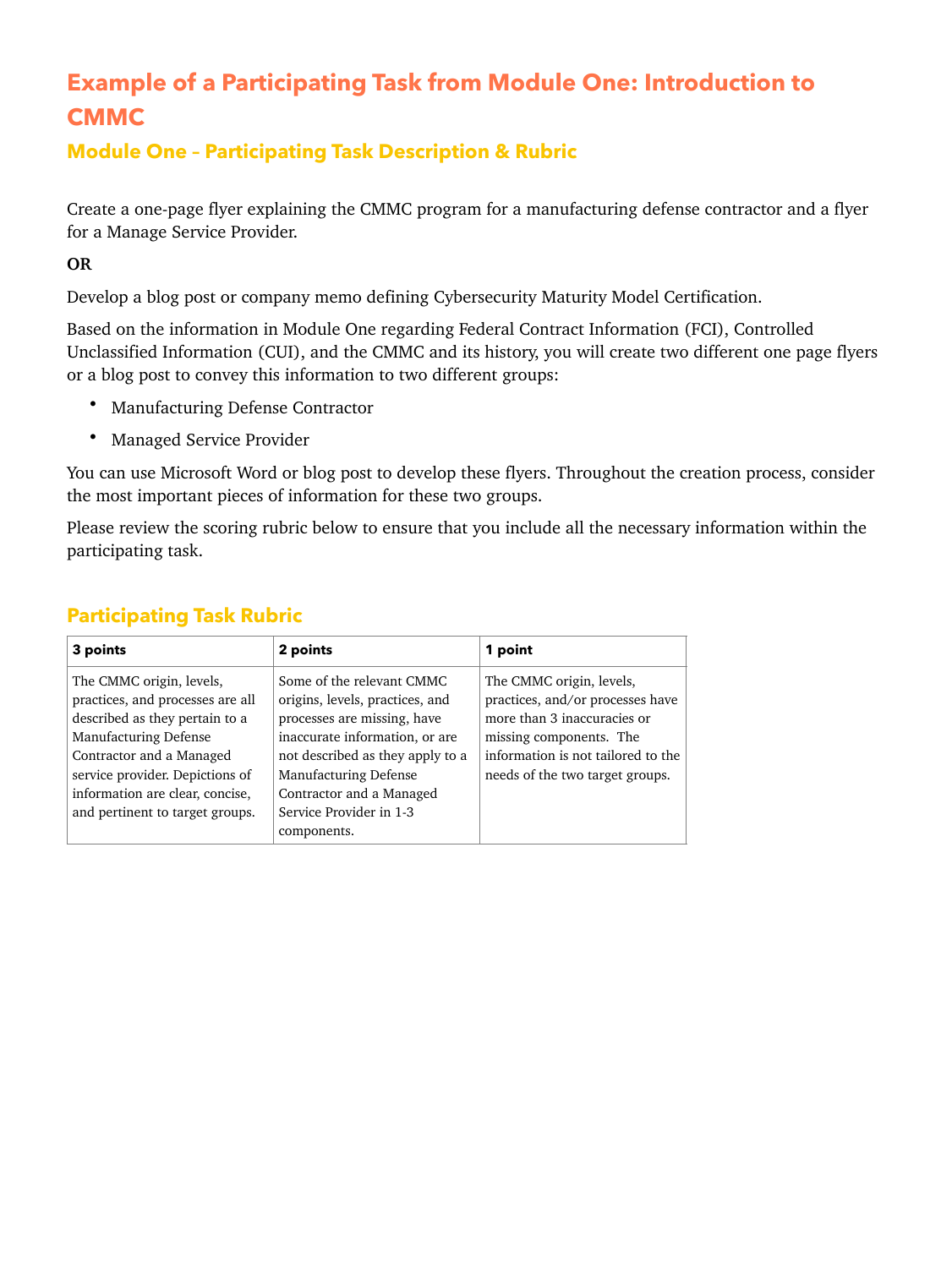## **Example of a Participating Task from Module One: Introduction to CMMC**

#### **Module One – Participating Task Description & Rubric**

Create a one-page flyer explaining the CMMC program for a manufacturing defense contractor and a flyer for a Manage Service Provider.

**OR**

Develop a blog post or company memo defining Cybersecurity Maturity Model Certification.

Based on the information in Module One regarding Federal Contract Information (FCI), Controlled Unclassified Information (CUI), and the CMMC and its history, you will create two different one page flyers or a blog post to convey this information to two different groups:

- Manufacturing Defense Contractor
- Managed Service Provider

You can use Microsoft Word or blog post to develop these flyers. Throughout the creation process, consider the most important pieces of information for these two groups.

Please review the scoring rubric below to ensure that you include all the necessary information within the participating task.

| 3 points                                                                                                                                                                                                                                                            | 2 points                                                                                                                                                                                                                                                                | 1 point                                                                                                                                                                                         |
|---------------------------------------------------------------------------------------------------------------------------------------------------------------------------------------------------------------------------------------------------------------------|-------------------------------------------------------------------------------------------------------------------------------------------------------------------------------------------------------------------------------------------------------------------------|-------------------------------------------------------------------------------------------------------------------------------------------------------------------------------------------------|
| The CMMC origin, levels,<br>practices, and processes are all<br>described as they pertain to a<br><b>Manufacturing Defense</b><br>Contractor and a Managed<br>service provider. Depictions of<br>information are clear, concise,<br>and pertinent to target groups. | Some of the relevant CMMC<br>origins, levels, practices, and<br>processes are missing, have<br>inaccurate information, or are<br>not described as they apply to a<br><b>Manufacturing Defense</b><br>Contractor and a Managed<br>Service Provider in 1-3<br>components. | The CMMC origin, levels,<br>practices, and/or processes have<br>more than 3 inaccuracies or<br>missing components. The<br>information is not tailored to the<br>needs of the two target groups. |

#### **Participating Task Rubric**